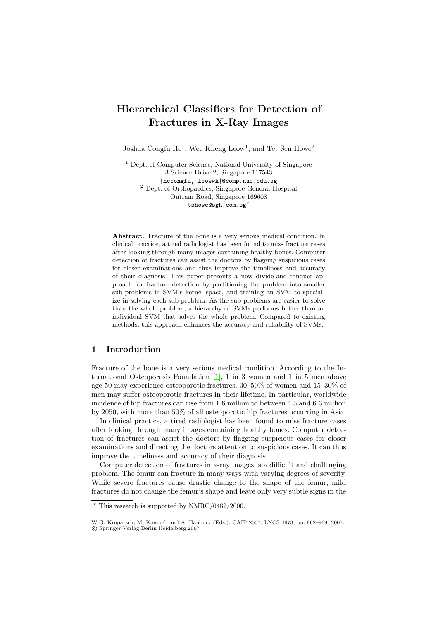# **Hierarchical Classifiers for Detection of Fractures in X-Ray Images**

Joshua Congfu He<sup>1</sup>, Wee Kheng Leow<sup>1</sup>, and Tet Sen Howe<sup>2</sup>

<sup>1</sup> Dept. of Computer Science, National University of Singapore 3 Science Drive 2, Singapore 117543 {hecongfu, leowwk}@comp.nus.edu.sg <sup>2</sup> Dept. of Orthopaedics, Singapore General Hospital Outram Road, Singapore 169608  $\texttt{tshowe@sgh.com.sg}^{\star}$ 

**Abstract.** Fracture of the bone is a very serious medical condition. In clinical practice, a tired radiologist has been found to miss fracture cases after looking through many images containing healthy bones. Computer detection of fractures can assist the doctors by flagging suspicious cases for closer examinations and thus improve the timeliness and accuracy of their diagnosis. This paper presents a new divide-and-conquer approach for fracture detection by partitioning the problem into smaller sub-problems in SVM's kernel space, and training an SVM to specialize in solving each sub-problem. As the sub-problems are easier to solve than the whole problem, a hierarchy of SVMs performs better than an individual SVM that solves the whole problem. Compared to existing methods, this approach enhances the accuracy and reliability of SVMs.

# **1 Introduction**

Fracture of the bone is a very serious medical condition. According to the International Osteoporosis Foundation [\[1\]](#page-7-0), 1 in 3 women and 1 in 5 men above age 50 may experience osteoporotic fractures. 30–50% of women and 15–30% of men may suffer osteoporotic fractures in their lifetime. In particular, worldwide incidence of hip fractures can rise from 1.6 million to between 4.5 and 6.3 million by 2050, with more than 50% of all osteoporotic hip fractures occurring in Asia.

In clinical practice, a tired radiologist has been found to miss fracture cases after looking through many images containing healthy bones. Computer detection of fractures can assist the doctors by flagging suspicious cases for closer examinations and directing the doctors attention to suspicious cases. It can thus improve the timeliness and accuracy of their diagnosis.

Computer detection of fractures in x-ray images is a difficult and challenging problem. The femur can fracture in many ways with varying degrees of severity. While severe fractures cause drastic change to the shape of the femur, mild fractures do not change the femur's shape and leave only very subtle signs in the

<sup>-</sup> This research is supported by NMRC/0482/2000.

W.G. Kropatsch, M. Kampel, and A. Hanbury (Eds.): CAIP 2007, LNCS 4673, pp. 962[–969,](#page-7-1) 2007. -c Springer-Verlag Berlin Heidelberg 2007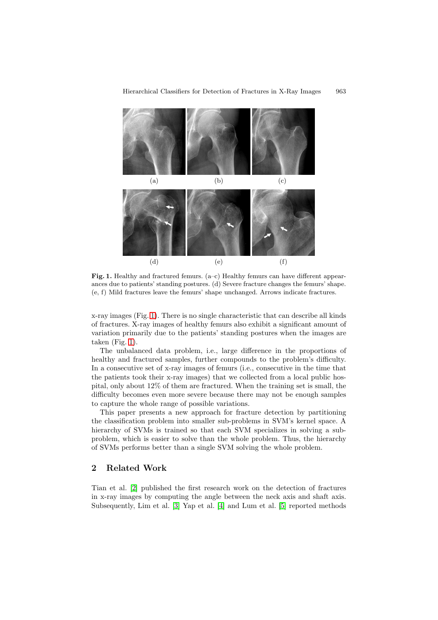

<span id="page-1-0"></span>**Fig. 1.** Healthy and fractured femurs. (a–c) Healthy femurs can have different appearances due to patients' standing postures. (d) Severe fracture changes the femurs' shape. (e, f) Mild fractures leave the femurs' shape unchanged. Arrows indicate fractures.

x-ray images (Fig. [1\)](#page-1-0). There is no single characteristic that can describe all kinds of fractures. X-ray images of healthy femurs also exhibit a significant amount of variation primarily due to the patients' standing postures when the images are taken (Fig. [1\)](#page-1-0).

The unbalanced data problem, i.e., large difference in the proportions of healthy and fractured samples, further compounds to the problem's difficulty. In a consecutive set of x-ray images of femurs (i.e., consecutive in the time that the patients took their x-ray images) that we collected from a local public hospital, only about 12% of them are fractured. When the training set is small, the difficulty becomes even more severe because there may not be enough samples to capture the whole range of possible variations.

This paper presents a new approach for fracture detection by partitioning the classification problem into smaller sub-problems in SVM's kernel space. A hierarchy of SVMs is trained so that each SVM specializes in solving a subproblem, which is easier to solve than the whole problem. Thus, the hierarchy of SVMs performs better than a single SVM solving the whole problem.

# **2 Related Work**

Tian et al. [\[2\]](#page-7-2) published the first research work on the detection of fractures in x-ray images by computing the angle between the neck axis and shaft axis. Subsequently, Lim et al. [\[3\]](#page-7-3) Yap et al. [\[4\]](#page-7-4) and Lum et al. [\[5\]](#page-7-5) reported methods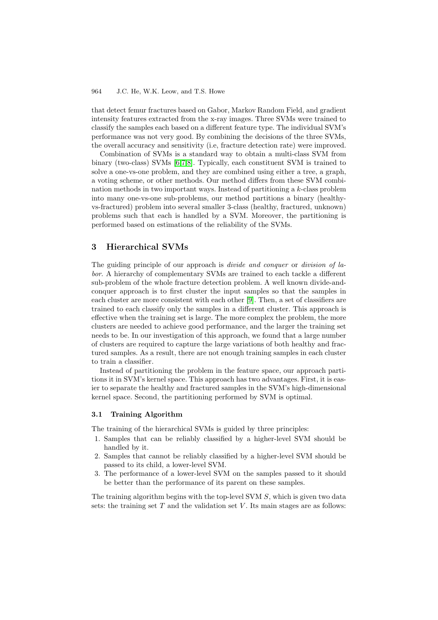#### 964 J.C. He, W.K. Leow, and T.S. Howe

that detect femur fractures based on Gabor, Markov Random Field, and gradient intensity features extracted from the x-ray images. Three SVMs were trained to classify the samples each based on a different feature type. The individual SVM's performance was not very good. By combining the decisions of the three SVMs, the overall accuracy and sensitivity (i.e, fracture detection rate) were improved.

Combination of SVMs is a standard way to obtain a multi-class SVM from binary (two-class) SVMs [\[6,](#page-7-6)[7,](#page-7-7)[8\]](#page-7-8). Typically, each constituent SVM is trained to solve a one-vs-one problem, and they are combined using either a tree, a graph, a voting scheme, or other methods. Our method differs from these SVM combination methods in two important ways. Instead of partitioning a k-class problem into many one-vs-one sub-problems, our method partitions a binary (healthyvs-fractured) problem into several smaller 3-class (healthy, fractured, unknown) problems such that each is handled by a SVM. Moreover, the partitioning is performed based on estimations of the reliability of the SVMs.

# **3 Hierarchical SVMs**

The guiding principle of our approach is divide and conquer or division of labor. A hierarchy of complementary SVMs are trained to each tackle a different sub-problem of the whole fracture detection problem. A well known divide-andconquer approach is to first cluster the input samples so that the samples in each cluster are more consistent with each other [\[9\]](#page-7-9). Then, a set of classifiers are trained to each classify only the samples in a different cluster. This approach is effective when the training set is large. The more complex the problem, the more clusters are needed to achieve good performance, and the larger the training set needs to be. In our investigation of this approach, we found that a large number of clusters are required to capture the large variations of both healthy and fractured samples. As a result, there are not enough training samples in each cluster to train a classifier.

Instead of partitioning the problem in the feature space, our approach partitions it in SVM's kernel space. This approach has two advantages. First, it is easier to separate the healthy and fractured samples in the SVM's high-dimensional kernel space. Second, the partitioning performed by SVM is optimal.

### <span id="page-2-0"></span>**3.1 Training Algorithm**

The training of the hierarchical SVMs is guided by three principles:

- 1. Samples that can be reliably classified by a higher-level SVM should be handled by it.
- 2. Samples that cannot be reliably classified by a higher-level SVM should be passed to its child, a lower-level SVM.
- 3. The performance of a lower-level SVM on the samples passed to it should be better than the performance of its parent on these samples.

The training algorithm begins with the top-level SVM S, which is given two data sets: the training set  $T$  and the validation set  $V$ . Its main stages are as follows: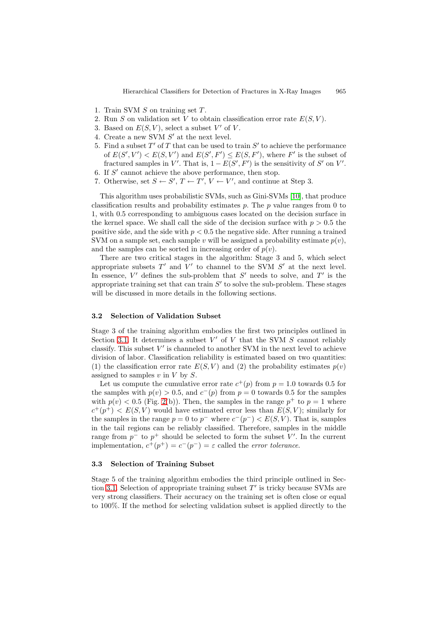- 1. Train SVM  $S$  on training set  $T$ .
- 2. Run S on validation set V to obtain classification error rate  $E(S, V)$ .
- 3. Based on  $E(S, V)$ , select a subset V' of V.
- 4. Create a new SVM  $S'$  at the next level.
- 5. Find a subset  $T'$  of T that can be used to train  $S'$  to achieve the performance of  $E(S', V') < E(S, V')$  and  $E(S', F') \leq E(S, F')$ , where F' is the subset of fractured samples in V'. That is,  $1 - E(S', F')$  is the sensitivity of S' on V'.
- 6. If  $S'$  cannot achieve the above performance, then stop.
- 7. Otherwise, set  $S \leftarrow S', T \leftarrow T', V \leftarrow V'$ , and continue at Step 3.

This algorithm uses probabilistic SVMs, such as Gini-SVMs [\[10\]](#page-7-10), that produce classification results and probability estimates  $p$ . The  $p$  value ranges from  $0$  to 1, with 0.5 corresponding to ambiguous cases located on the decision surface in the kernel space. We shall call the side of the decision surface with  $p > 0.5$  the positive side, and the side with  $p < 0.5$  the negative side. After running a trained SVM on a sample set, each sample v will be assigned a probability estimate  $p(v)$ , and the samples can be sorted in increasing order of  $p(v)$ .

There are two critical stages in the algorithm: Stage 3 and 5, which select appropriate subsets  $T'$  and  $V'$  to channel to the SVM  $S'$  at the next level. In essence,  $V'$  defines the sub-problem that  $S'$  needs to solve, and  $T'$  is the appropriate training set that can train  $S'$  to solve the sub-problem. These stages will be discussed in more details in the following sections.

#### **3.2 Selection of Validation Subset**

Stage 3 of the training algorithm embodies the first two principles outlined in Section [3.1.](#page-2-0) It determines a subset  $V'$  of V that the SVM S cannot reliably classify. This subset  $V'$  is channeled to another SVM in the next level to achieve division of labor. Classification reliability is estimated based on two quantities: (1) the classification error rate  $E(S, V)$  and (2) the probability estimates  $p(v)$ assigned to samples  $v$  in  $V$  by  $S$ .

Let us compute the cumulative error rate  $c^+(p)$  from  $p = 1.0$  towards 0.5 for the samples with  $p(v) > 0.5$ , and  $c^-(p)$  from  $p = 0$  towards 0.5 for the samples with  $p(v) < 0.5$  (Fig. [2\(](#page-5-0)b)). Then, the samples in the range  $p^+$  to  $p = 1$  where  $c^+(p^+) < E(S, V)$  would have estimated error less than  $E(S, V)$ ; similarly for the samples in the range  $p = 0$  to  $p^-$  where  $c^-(p^-) < E(S, V)$ . That is, samples in the tail regions can be reliably classified. Therefore, samples in the middle range from  $p^-$  to  $p^+$  should be selected to form the subset V'. In the current implementation,  $c^+(p^+) = c^-(p^-) = \varepsilon$  called the *error tolerance*.

### **3.3 Selection of Training Subset**

Stage 5 of the training algorithm embodies the third principle outlined in Sec-tion [3.1.](#page-2-0) Selection of appropriate training subset  $T'$  is tricky because SVMs are very strong classifiers. Their accuracy on the training set is often close or equal to 100%. If the method for selecting validation subset is applied directly to the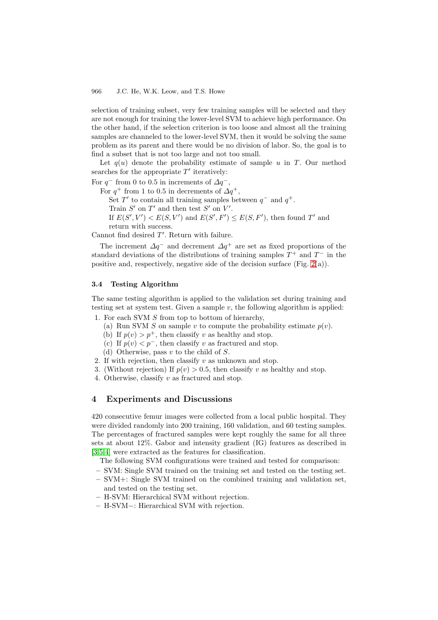#### 966 J.C. He, W.K. Leow, and T.S. Howe

selection of training subset, very few training samples will be selected and they are not enough for training the lower-level SVM to achieve high performance. On the other hand, if the selection criterion is too loose and almost all the training samples are channeled to the lower-level SVM, then it would be solving the same problem as its parent and there would be no division of labor. So, the goal is to find a subset that is not too large and not too small.

Let  $q(u)$  denote the probability estimate of sample u in T. Our method searches for the appropriate  $T'$  iteratively:

For  $q^-$  from 0 to 0.5 in increments of  $\Delta q^-$ ,

For  $q^+$  from 1 to 0.5 in decrements of  $\Delta q^+$ ,

Set T' to contain all training samples between  $q^-$  and  $q^+$ .

Train  $S'$  on  $T'$  and then test  $S'$  on  $V'$ .

If  $E(S', V') < E(S, V')$  and  $E(S', F') \le E(S, F')$ , then found T' and return with success.

Cannot find desired  $T'$ . Return with failure.

The increment  $\Delta q^-$  and decrement  $\Delta q^+$  are set as fixed proportions of the standard deviations of the distributions of training samples  $T^+$  and  $T^-$  in the positive and, respectively, negative side of the decision surface (Fig.  $2(a)$ ).

## **3.4 Testing Algorithm**

The same testing algorithm is applied to the validation set during training and testing set at system test. Given a sample  $v$ , the following algorithm is applied:

- 1. For each SVM S from top to bottom of hierarchy,
	- (a) Run SVM S on sample v to compute the probability estimate  $p(v)$ .
	- (b) If  $p(v) > p^+$ , then classify v as healthy and stop.
	- (c) If  $p(v) < p^-$ , then classify v as fractured and stop.
	- (d) Otherwise, pass  $v$  to the child of  $S$ .
- 2. If with rejection, then classify  $v$  as unknown and stop.
- 3. (Without rejection) If  $p(v) > 0.5$ , then classify v as healthy and stop.
- 4. Otherwise, classify v as fractured and stop.

## **4 Experiments and Discussions**

420 consecutive femur images were collected from a local public hospital. They were divided randomly into 200 training, 160 validation, and 60 testing samples. The percentages of fractured samples were kept roughly the same for all three sets at about 12%. Gabor and intensity gradient (IG) features as described in [\[3,](#page-7-3)[5,](#page-7-5)[4\]](#page-7-4) were extracted as the features for classification.

The following SVM configurations were trained and tested for comparison:

- **–** SVM: Single SVM trained on the training set and tested on the testing set.
- **–** SVM+: Single SVM trained on the combined training and validation set, and tested on the testing set.
- **–** H-SVM: Hierarchical SVM without rejection.
- **–** H-SVM−: Hierarchical SVM with rejection.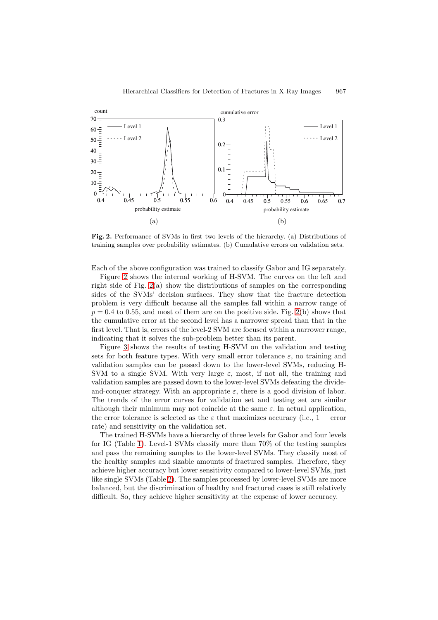

<span id="page-5-0"></span>**Fig. 2.** Performance of SVMs in first two levels of the hierarchy. (a) Distributions of training samples over probability estimates. (b) Cumulative errors on validation sets.

Each of the above configuration was trained to classify Gabor and IG separately.

Figure [2](#page-5-0) shows the internal working of H-SVM. The curves on the left and right side of Fig. [2\(](#page-5-0)a) show the distributions of samples on the corresponding sides of the SVMs' decision surfaces. They show that the fracture detection problem is very difficult because all the samples fall within a narrow range of  $p = 0.4$  to 0.55, and most of them are on the positive side. Fig. [2\(](#page-5-0)b) shows that the cumulative error at the second level has a narrower spread than that in the first level. That is, errors of the level-2 SVM are focused within a narrower range, indicating that it solves the sub-problem better than its parent.

Figure [3](#page-6-0) shows the results of testing H-SVM on the validation and testing sets for both feature types. With very small error tolerance  $\varepsilon$ , no training and validation samples can be passed down to the lower-level SVMs, reducing H-SVM to a single SVM. With very large  $\varepsilon$ , most, if not all, the training and validation samples are passed down to the lower-level SVMs defeating the divideand-conquer strategy. With an appropriate  $\varepsilon$ , there is a good division of labor. The trends of the error curves for validation set and testing set are similar although their minimum may not coincide at the same  $\varepsilon$ . In actual application, the error tolerance is selected as the  $\varepsilon$  that maximizes accuracy (i.e., 1 – error rate) and sensitivity on the validation set.

The trained H-SVMs have a hierarchy of three levels for Gabor and four levels for IG (Table [1\)](#page-6-1). Level-1 SVMs classify more than 70% of the testing samples and pass the remaining samples to the lower-level SVMs. They classify most of the healthy samples and sizable amounts of fractured samples. Therefore, they achieve higher accuracy but lower sensitivity compared to lower-level SVMs, just like single SVMs (Table [2\)](#page-7-11). The samples processed by lower-level SVMs are more balanced, but the discrimination of healthy and fractured cases is still relatively difficult. So, they achieve higher sensitivity at the expense of lower accuracy.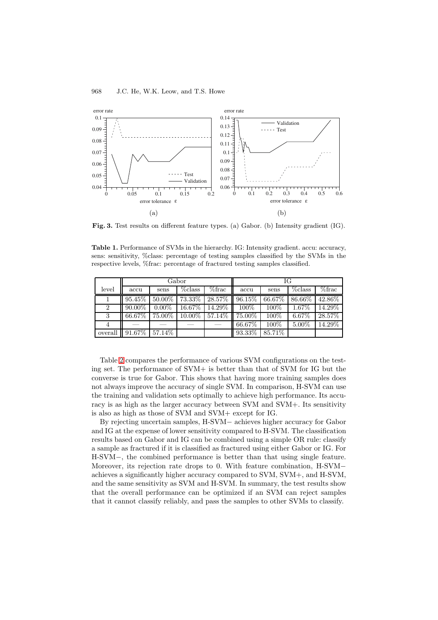#### 968 J.C. He, W.K. Leow, and T.S. Howe



<span id="page-6-0"></span>**Fig. 3.** Test results on different feature types. (a) Gabor. (b) Intensity gradient (IG).

<span id="page-6-1"></span>**Table 1.** Performance of SVMs in the hierarchy. IG: Intensity gradient. accu: accuracy, sens: sensitivity, %class: percentage of testing samples classified by the SVMs in the respective levels, %frac: percentage of fractured testing samples classified.

|                | Gabor     |           |            |                           | ΙG        |        |            |           |
|----------------|-----------|-----------|------------|---------------------------|-----------|--------|------------|-----------|
| level          | accu      | sens      | $\%$ class | $\%$ frac                 | accu      | sens   | $\%$ class | $\%$ frac |
|                | $95.45\%$ | $50.00\%$ |            | 73.33%   28.57%   96.15%  |           | 66.67% | 86.66%     | 42.86%    |
| $\overline{2}$ | 90.00%    | $0.00\%$  | $16.67\%$  | 14.29%   100%             |           | 100%   | $1.67\%$   | 14.29%    |
| 3              | 66.67%    | 75.00%    |            | $10.00\%$ 57.14\% 75.00\% |           | 100%   | 6.67%      | 28.57%    |
| 4              |           |           |            |                           | $66.67\%$ | 100%   | 5.00%      | 14.29%    |
| overall        | $91.67\%$ | 57.14\%   |            |                           | 93.33%    | 85.71% |            |           |

Table [2](#page-7-11) compares the performance of various SVM configurations on the testing set. The performance of SVM+ is better than that of SVM for IG but the converse is true for Gabor. This shows that having more training samples does not always improve the accuracy of single SVM. In comparison, H-SVM can use the training and validation sets optimally to achieve high performance. Its accuracy is as high as the larger accuracy between SVM and SVM+. Its sensitivity is also as high as those of SVM and SVM+ except for IG.

By rejecting uncertain samples, H-SVM− achieves higher accuracy for Gabor and IG at the expense of lower sensitivity compared to H-SVM. The classification results based on Gabor and IG can be combined using a simple OR rule: classify a sample as fractured if it is classified as fractured using either Gabor or IG. For H-SVM−, the combined performance is better than that using single feature. Moreover, its rejection rate drops to 0. With feature combination, H-SVM− achieves a significantly higher accuracy compared to SVM, SVM+, and H-SVM, and the same sensitivity as SVM and H-SVM. In summary, the test results show that the overall performance can be optimized if an SVM can reject samples that it cannot classify reliably, and pass the samples to other SVMs to classify.